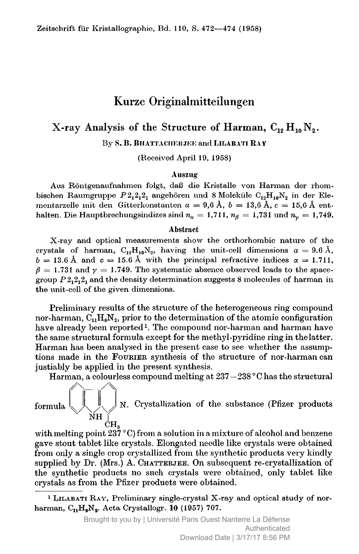# Kurze Originalmitteilungen

# X-ray Analysis of the Structure of Harman,  $C_{12} H_{10} N_2$ .

By S. B. Bhattachekjee andLilabati Ray

(Received April 19, 1958)

### Auszug

Aus Röntgenaufnahmen folgt, daß die Kristalle von Harman der rhombischen Raumgruppe  $P_2, 2, 2, 3$  angehören und 8 Moleküle  $C_{12}H_{10}N_2$  in der Elementarzelle mit den Gitterkonstanten  $a = 9,6$  Å,  $b = 13,6$  Å,  $c = 15,6$  Å enthalten. Die Hauptbrechungsindizes sind  $n_a = 1,711$ ,  $n_\beta = 1,731$  und  $n_\gamma = 1,749$ .

#### Abstract

X-ray and optical measurements show the orthorhombic nature of the crystals of harman,  $C_1,H_{10}N_2$ , having the unit-cell dimensions  $a = 9.6 \text{ Å}$ ,  $b = 13.6 \text{ Å}$  and  $c = 15.6 \text{ Å}$  with the principal refractive indices  $\alpha = 1.711$ ,  $\beta = 1.731$  and  $\gamma = 1.749$ . The systematic absence observed leads to the spacegroup  $P_1, 2, 2, 2$  and the density determination suggests 8 molecules of harman in the unit-cell of the given dimensions.

Preliminary results of the structure of the heterogeneous ring compound nor-harman,  $C_1H_sN_2$ , prior to the determination of the atomic configuration have already been reported<sup>1</sup>. The compound nor-harman and harman have the same structural formula except for the metlryl-pyridine ring in the latter. Harman has been anatysed in the present case to see whether the assumptions made in the Fourier synthesis of the structure of nor-harman can justiably be applied in the present synthesis.

Harman, <sup>a</sup> colourless compound melting at 237—238 °C has the structural



with melting point  $237^{\circ}$ C) from a solution in a mixture of alcohol and benzene gave stout tablet like crystals. Elongated needle like crystals were obtained from only <sup>a</sup> single crop crystallized from the synthetic products very kindly supplied by  $Dr.$  (Mrs.) A. CHATTERJEE. On subsequent re-crystallization of the synthetic products no such crystals were obtained, only tablet like crystals as from the Pfizer products were obtained.

<sup>&</sup>lt;sup>1</sup> LILABATI RAY, Preliminary single-crystal X-ray and optical study of norharman,  $C_{11}H_{9}N_{2}$ . Acta Crystallogr. 10 (1957) 707.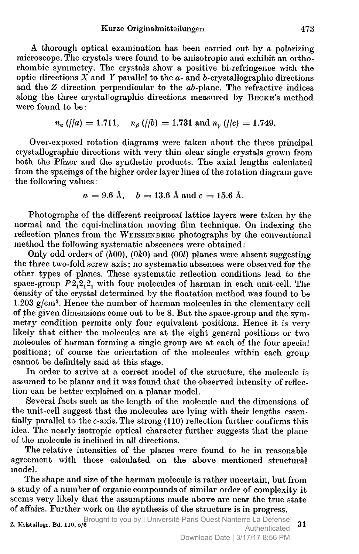A thorough optical examination has been carried out by <sup>a</sup> polarizing microscope. The crystals were found to be anisotropic and exhibit an orthorhombic symmetry. The crystals show <sup>a</sup> positive bi-refringence with the optic directions  $\overline{X}$  and  $\overline{Y}$  parallel to the  $\overline{a}$ - and  $\overline{b}$ -crystallographic directions and the Z direction perpendicular to the ab-plane. The refractive indices along the three crystallographic directions measured by BECKE's method were found to be.

$$
n_{\alpha}
$$
  $\langle$   $\vert/a \rangle = 1.711$ ,  $n_{\beta}$   $\langle$   $\vert/b \rangle = 1.731$  and  $n_{\gamma}$   $\langle$   $\vert/c \rangle = 1.749$ .

Over-exposed rotation diagrams were taken about the three principal crystallographic directions with very thin clear single crystals grown from both the Pfizer and the synthetic products. The axial lengths calculated from the spacings of the higher order layer lines of the rotation diagram gave the following values :

$$
a = 9.6
$$
 Å,  $b = 13.6$  Å and  $c = 15.6$  Å.

Photographs of the different reciprocal lattice layers were taken by the normal and the equi-inclination moving film technique. On indexing the reflection planes from the WEISSENBERG photographs by the conventional method the following systematic abscences were obtained :

Only odd orders of  $(h00)$ ,  $(0k0)$  and  $(00l)$  planes were absent suggesting the three two-fold screw axis; no systematic absences were observed for the other types of planes. These systematic reflection conditions lead to the space-group  $P2<sub>1</sub>2<sub>1</sub>2<sub>1</sub>$  with four molecules of harman in each unit-cell. The density of the crystal determined by the floatation method was found to be 1.203  $g/cm^3$ . Hence the number of harman molecules in the elementary cell of the given dimensions come out to be 8. But the space-group and the symmetry condition permits only four equivalent positions. Hence it is very likely that either the molecules are at the eight general positions or two molecules of harman forming <sup>a</sup> single group are at each of the four special positions; of course the orientation of the molecules within each group cannot be definitely said at this stage.

In order to arrive at <sup>a</sup> correct model of the structure, the molecule is assumed to be planar and it was found that the observed intensity of reflection can be better explained on <sup>a</sup> planar model.

Several facts such as the length of the molecule and the dimensions of the unit-cell suggest that the molecules are lying with their lengths essentially parallel to the c-axis. The strong (110) reflection further confirms this idea. The nearly isotropic optical character further suggests that the plane of the molecule is inclined in all directions.

The relative intensities of the planes were found to be in reasonable agreement with those calculated on the above mentioned structural model.

The shape and size of the harman molecule is rather uncertain, but from <sup>a</sup> study of <sup>a</sup> number of organic compounds of similar order of complexity it seems very likely that the assumptions made above are near the true state of affairs. Further work on the synthesis of the structure is in progress.

 $\alpha$ . Kristallogr. Bd. 110,  $5/6$  . Brought to you by | Université Paris Ouest Nanterre La Défense 31 Authenticated Download Date | 3/17/17 8:56 PM